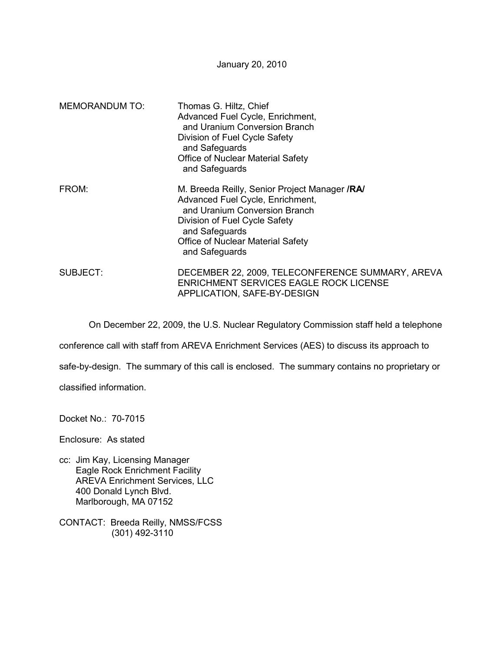January 20, 2010

| <b>MEMORANDUM TO:</b> | Thomas G. Hiltz, Chief<br>Advanced Fuel Cycle, Enrichment,<br>and Uranium Conversion Branch<br>Division of Fuel Cycle Safety<br>and Safeguards<br>Office of Nuclear Material Safety<br>and Safeguards                               |
|-----------------------|-------------------------------------------------------------------------------------------------------------------------------------------------------------------------------------------------------------------------------------|
| FROM:                 | M. Breeda Reilly, Senior Project Manager / RA<br>Advanced Fuel Cycle, Enrichment,<br>and Uranium Conversion Branch<br>Division of Fuel Cycle Safety<br>and Safeguards<br><b>Office of Nuclear Material Safety</b><br>and Safeguards |
| SUBJECT:              | DECEMBER 22, 2009, TELECONFERENCE SUMMARY, AREVA<br><b>ENRICHMENT SERVICES EAGLE ROCK LICENSE</b><br>APPLICATION, SAFE-BY-DESIGN                                                                                                    |

On December 22, 2009, the U.S. Nuclear Regulatory Commission staff held a telephone

conference call with staff from AREVA Enrichment Services (AES) to discuss its approach to

safe-by-design. The summary of this call is enclosed. The summary contains no proprietary or

classified information.

Docket No.: 70-7015

Enclosure: As stated

- cc: Jim Kay, Licensing Manager Eagle Rock Enrichment Facility AREVA Enrichment Services, LLC 400 Donald Lynch Blvd. Marlborough, MA 07152
- CONTACT: Breeda Reilly, NMSS/FCSS (301) 492-3110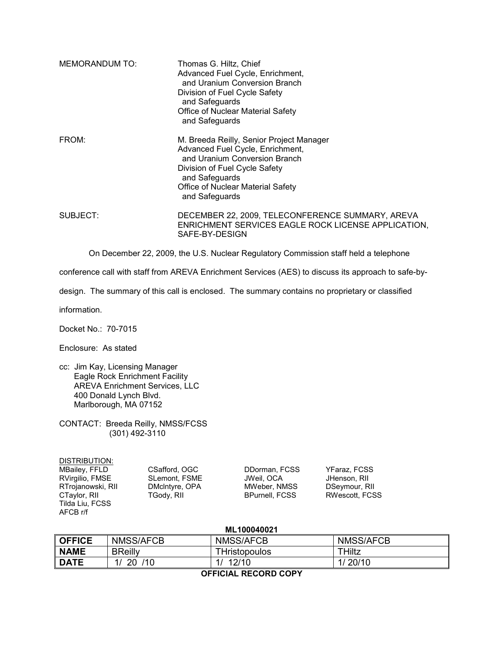| <b>MEMORANDUM TO:</b> | Thomas G. Hiltz, Chief<br>Advanced Fuel Cycle, Enrichment,<br>and Uranium Conversion Branch<br>Division of Fuel Cycle Safety<br>and Safeguards<br>Office of Nuclear Material Safety<br>and Safeguards                   |
|-----------------------|-------------------------------------------------------------------------------------------------------------------------------------------------------------------------------------------------------------------------|
| FROM:                 | M. Breeda Reilly, Senior Project Manager<br>Advanced Fuel Cycle, Enrichment,<br>and Uranium Conversion Branch<br>Division of Fuel Cycle Safety<br>and Safeguards<br>Office of Nuclear Material Safety<br>and Safeguards |
| SUBJECT:              | DECEMBER 22, 2009, TELECONFERENCE SUMMARY, AREVA<br>ENRICHMENT SERVICES EAGLE ROCK LICENSE APPLICATION,<br>SAFE-BY-DESIGN                                                                                               |

On December 22, 2009, the U.S. Nuclear Regulatory Commission staff held a telephone

conference call with staff from AREVA Enrichment Services (AES) to discuss its approach to safe-by-

design. The summary of this call is enclosed. The summary contains no proprietary or classified

information.

Docket No.: 70-7015

Enclosure: As stated

- cc: Jim Kay, Licensing Manager Eagle Rock Enrichment Facility AREVA Enrichment Services, LLC 400 Donald Lynch Blvd. Marlborough, MA 07152
- CONTACT: Breeda Reilly, NMSS/FCSS (301) 492-3110

| DISTRIBUTION:     |                |                       |                |
|-------------------|----------------|-----------------------|----------------|
| MBailey, FFLD     | CSafford, OGC  | DDorman, FCSS         | YFaraz, FCSS   |
| RVirgilio, FMSE   | SLemont, FSME  | JWeil, OCA            | JHenson, RII   |
| RTrojanowski, RII | DMcIntyre, OPA | MWeber, NMSS          | DSeymour, RII  |
| CTaylor, RII      | TGody, RII     | <b>BPurnell, FCSS</b> | RWescott, FCSS |
| Tilda Liu, FCSS   |                |                       |                |
| AFCB r/f          |                |                       |                |

| ML100040021             |                |                      |           |  |  |
|-------------------------|----------------|----------------------|-----------|--|--|
| <b>OFFICE</b>           | NMSS/AFCB      | NMSS/AFCB            | NMSS/AFCB |  |  |
| <b>NAME</b>             | <b>BReilly</b> | <b>THristopoulos</b> | THiltz    |  |  |
| <b>DATE</b>             | /10<br>1/20    | 12/10                | 1/20/10   |  |  |
| --------<br>___________ |                |                      |           |  |  |

**OFFICIAL RECORD COPY**